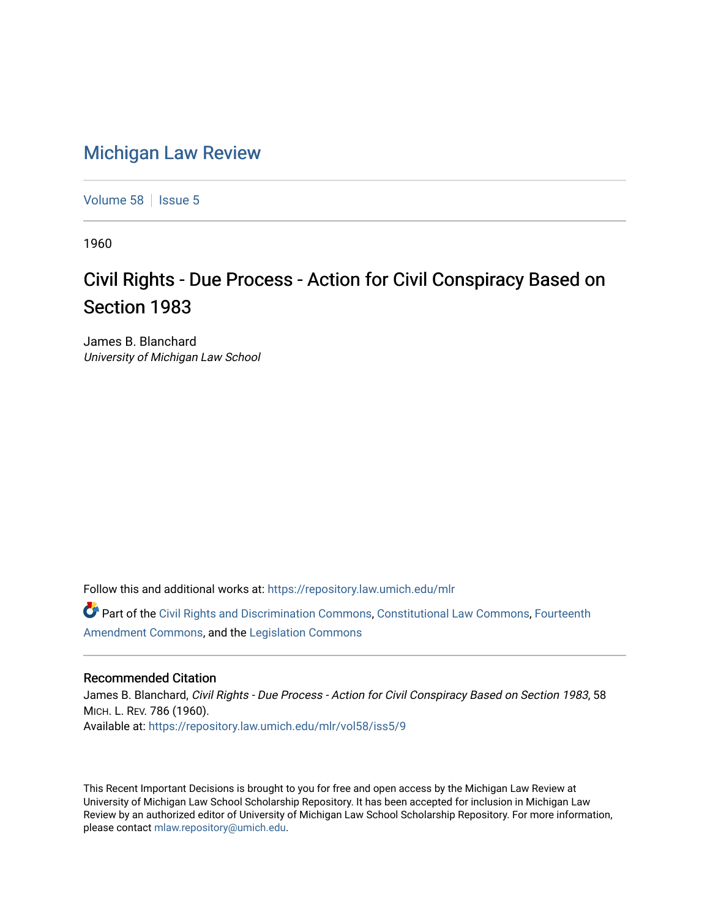## [Michigan Law Review](https://repository.law.umich.edu/mlr)

[Volume 58](https://repository.law.umich.edu/mlr/vol58) | [Issue 5](https://repository.law.umich.edu/mlr/vol58/iss5)

1960

## Civil Rights - Due Process - Action for Civil Conspiracy Based on Section 1983

James B. Blanchard University of Michigan Law School

Follow this and additional works at: [https://repository.law.umich.edu/mlr](https://repository.law.umich.edu/mlr?utm_source=repository.law.umich.edu%2Fmlr%2Fvol58%2Fiss5%2F9&utm_medium=PDF&utm_campaign=PDFCoverPages) 

Part of the [Civil Rights and Discrimination Commons,](http://network.bepress.com/hgg/discipline/585?utm_source=repository.law.umich.edu%2Fmlr%2Fvol58%2Fiss5%2F9&utm_medium=PDF&utm_campaign=PDFCoverPages) [Constitutional Law Commons,](http://network.bepress.com/hgg/discipline/589?utm_source=repository.law.umich.edu%2Fmlr%2Fvol58%2Fiss5%2F9&utm_medium=PDF&utm_campaign=PDFCoverPages) [Fourteenth](http://network.bepress.com/hgg/discipline/1116?utm_source=repository.law.umich.edu%2Fmlr%2Fvol58%2Fiss5%2F9&utm_medium=PDF&utm_campaign=PDFCoverPages)  [Amendment Commons](http://network.bepress.com/hgg/discipline/1116?utm_source=repository.law.umich.edu%2Fmlr%2Fvol58%2Fiss5%2F9&utm_medium=PDF&utm_campaign=PDFCoverPages), and the [Legislation Commons](http://network.bepress.com/hgg/discipline/859?utm_source=repository.law.umich.edu%2Fmlr%2Fvol58%2Fiss5%2F9&utm_medium=PDF&utm_campaign=PDFCoverPages)

## Recommended Citation

James B. Blanchard, Civil Rights - Due Process - Action for Civil Conspiracy Based on Section 1983, 58 MICH. L. REV. 786 (1960). Available at: [https://repository.law.umich.edu/mlr/vol58/iss5/9](https://repository.law.umich.edu/mlr/vol58/iss5/9?utm_source=repository.law.umich.edu%2Fmlr%2Fvol58%2Fiss5%2F9&utm_medium=PDF&utm_campaign=PDFCoverPages)

This Recent Important Decisions is brought to you for free and open access by the Michigan Law Review at University of Michigan Law School Scholarship Repository. It has been accepted for inclusion in Michigan Law Review by an authorized editor of University of Michigan Law School Scholarship Repository. For more information, please contact [mlaw.repository@umich.edu.](mailto:mlaw.repository@umich.edu)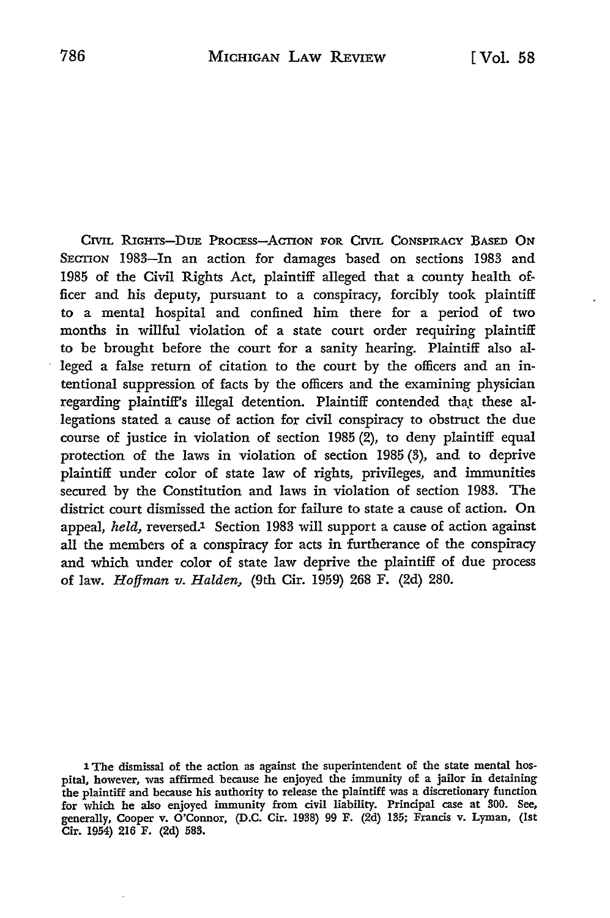CIVIL RIGHTS-DUE PROCESS-ACTION FOR CIVIL CONSPIRACY BASED ON SECTION 1983-In an action for damages based on sections 1983 and 1985 of the Civil Rights Act, plaintiff alleged that a county health officer and his deputy, pursuant to a conspiracy, forcibly took plaintiff to a mental hospital and confined him there for a period of two months in willful violation of a state court order requiring plaintiff to be brought before the court for a sanity hearing. Plaintiff also alleged a false return of citation to the court by the officers and an intentional suppression of facts by the officers and the examining physician regarding plaintiff's illegal detention. Plaintiff contended that these allegations stated a cause of action for civil conspiracy to obstruct the due course of justice in violation of section 1985 (2), to deny plaintiff equal protection of the laws in violation of section 1985 (3), and to deprive plaintiff under color of state law of rights, privileges, and immunities secured by the Constitution and laws in violation of section 1983. The district court dismissed the action for failure to state a cause of action. On appeal, *held*, reversed.<sup>1</sup> Section 1983 will support a cause of action against all the members of a conspiracy for acts in furtherance of the conspiracy and which under color of state law deprive the plaintiff of due process of law. *Hoffman v. Halden,* (9th Cir. **1959) 268** F. (2d) 280.

**<sup>1</sup>** The dismissal of the action as against the superintendent of the state mental hospital, however, was affirmed because he enjoyed the immunity of a jailor in detaining the plaintiff and because his authority to release the plaintiff was a discretionary function for which he also enjoyed immunity from civil liability. Principal case at 300. See, generally, Cooper v. O'Connor, (D.C. Cir. **1938) 99** F. (2d) 185; Francis v. Lyman, (1st Cir. 1954) 216 F. (2d) 588.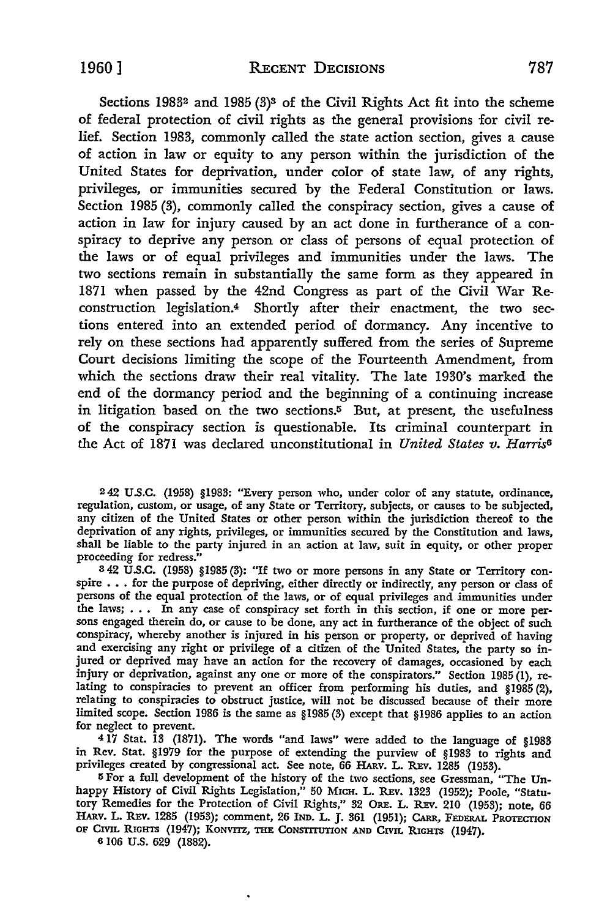Sections 19832 and 1985 **(3)3** of the Civil Rights Act fit into the scheme of federal protection of civil rights as the general provisions for civil relief. Section 1983, commonly called the state action section, gives a cause of action in law or equity to any person within the jurisdiction of the United States for deprivation, under color of state law, of any rights, privileges, or immunities secured **by** the Federal Constitution or laws. Section 1985 (3), commonly called the conspiracy section, gives a cause of action in law for injury caused **by** an act done in furtherance of a conspiracy to deprive any person or class of persons of equal protection of the laws or of equal privileges and immunities under the laws. The two sections remain in substantially the same form as they appeared in 1871 when passed **by** the 42nd Congress as part of the Civil War Reconstruction legislation.4 Shortly after their enactment, the two sections entered into an extended period of dormancy. Any incentive to rely on these sections had apparently suffered from the series of Supreme Court decisions limiting the scope of the Fourteenth Amendment, from which the sections draw their real vitality. The late 1930's marked the end of the dormancy period and the beginning of a continuing increase in litigation based on the two sections.<sup>5</sup> But, at present, the usefulness of the conspiracy section is questionable. Its criminal counterpart in the Act of 1871 was declared unconstitutional in *United States v. Harris6*

242 U.S.C. (1958) §1983: "Every person who, under color of any statute, ordinance, regulation, custom, or usage, of any State or Territory, subjects, or causes to be subjected, any citizen of the United States or other person within the jurisdiction thereof to the deprivation of any rights, privileges, or immunities secured by the Constitution and laws, shall be liable to the party injured in an action at law, suit in equity, or other proper proceeding for redress."

**342 U.S.C. (1958) §1985(3):** "If two or more persons in any State or Territory con- spire **. . .** for the purpose of depriving, either directly or indirectly, any person or class of persons of the equal protection of the laws, or of equal privileges and immunities under the laws; . . . In any case of conspiracy set forth in this section, if one or more per-<br>sons engaged therein do, or cause to be done, any act in furtherance of the object of such conspiracy, whereby another is injured in his person or property, or deprived of having and exercising any right or privilege of a citizen of the United States, the party so injured or deprived may have an action for the recovery of damages, occasioned by each injury or deprivation, against any one or more of the conspirators." Section **1985(1),** re- lating to conspiracies to prevent an officer from performing his duties, and **§1985** (2), relating to conspiracies to obstruct justice, will not be discussed because of their more limited scope. Section **1986** is the same as **§1985 (3)** except that **§1986** applies to an action for neglect to prevent.

4 **17** Stat. **13 (1871).** The words "and laws" were added to the language of **§1983** in Rev. Stat. **§1979** for the purpose of extending the purview of **§1983** to rights and privileges created **by** congressional act. See note, **66** HARv. L. Rxv. **1285 (1953).**

**5** For a full development of the history of the two sections, see Gressman, "The Unhappy History of Civil Rights Legislation," 50 Mich. L. REV. 1323 (1952); Poole, "Statutory Remedies for the Protection of Civil Rights," 32 ORE. L. REV. 210 (1953); note, 66 HA v. L. Rlv. **1285 (1953);** comment, **26 IND.** L. **J. 361 (1951);** CARR, FEDEaRAL **PROTECrION OF Crvi. RGHTs** (1947); KONVrrz, **THE** CONSTrrInON **AND CIvM RIGHTS** (1947).

**6 106 U.S. 629** (1882).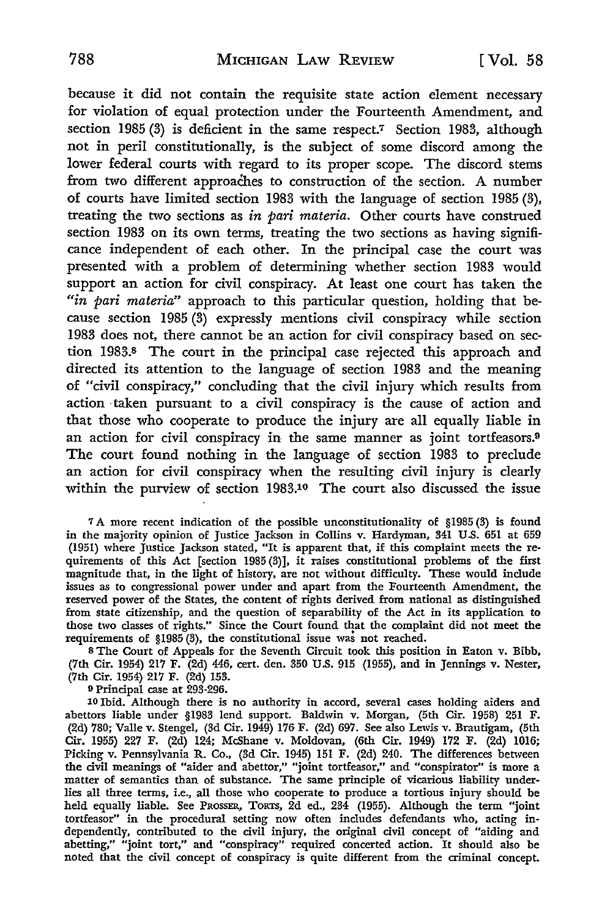because it did not contain the requisite state action element necessary for violation of equal protection under the Fourteenth Amendment, and section 1985 (3) is deficient in the same respect.<sup>7</sup> Section 1983, although not in peril constitutionally, is the subject of some discord among the lower federal courts with regard to its proper scope. The discord stems from two different approaches to construction of the section. A number of courts have limited section **1983** with the language of section 1985 (3), treating the two sections as *in pari materia.* Other courts have construed section 1983 on its own terms, treating the two sections as having significance independent of each other. In the principal case the court was presented with a problem of determining whether section 1983 would support an action for civil conspiracy. At least one court has taken the *"in pari materia"* approach to this particular question, holding that because section 1985 **(3)** expressly mentions civil conspiracy while section 1983 does not, there cannot be an action for civil conspiracy based on section 1983.s The court in the principal case rejected this approach and directed its attention to the language of section **1983** and the meaning of "civil conspiracy," concluding that the civil injury which results from action taken pursuant to a civil conspiracy is the cause of action and that those who cooperate to produce the injury are all equally liable in an action for civil conspiracy in the same manner as joint tortfeasors.9 The court found nothing in the language of section 1983 to preclude an action for civil conspiracy when the resulting civil injury is clearly within the purview of section 1983.10 The court also discussed the issue

**7A** more recent indication of the possible unconstitutionality of §1985(3) is found in the majority opinion of Justice Jackson in Collins v. Hardyman, 341 **U.S. 651** at **659** (1951) where Justice Jackson stated, "It is apparent that, if this complaint meets the requirements of this Act [section 1985 **(3)],** it raises constitutional problems of the first magnitude that, in the light of history, are not without difficulty. These would include issues as to congressional power under and apart from the Fourteenth Amendment, the reserved power of the States, the content of rights derived from national as distinguished from state citizenship, and the question of separability of the Act in its application to those two classes of rights." Since the Court found that the complaint did not meet the requirements of **§1985 (3),** the constitutional issue **was** not reached.

**<sup>8</sup>**The Court of Appeals for the Seventh Circuit took this position in Eaton v. Bibb, (7th Cir. 1954) 217 F. (2d) 446, cert. den. **350 U.S. 915** (1955), and in Jennings v. Nester, (7th Cir. 1954) **217** F. (2d) **153.**

**9** Principal case at **293-296.**

10 Ibid. Although there is no authority in accord, several cases holding aiders and abettors liable under **§1983** lend support. Baldwin v. Morgan, (5th Cir. **1958) 251** F. (2d) **780;** Valle v. Stengel, (3d Cir. 1949) **176** F. (2d) **697.** See also Lewis v. Brautigam, (5th Cir. **1955) 227** F. (2d) 124; McShane v. Moldovan, (6th Cir. 1949) **172** F. (2d) **1016;** Picking v. Pennsylvania R. Co., **(3d** Cir. 1945) **151** F. (2d) 240. The differences between the civil meanings of "aider and abettor," "joint tortfeasor," and "conspirator" is more a matter of semantics than of substance. The same principle of vicarious liability underlies all three terms, i.e., all those who cooperate to produce a tortious injury should **be** held equally liable. See PROSSER, TORTS, 2d ed., 234 (1955). Although the term "joint tortfeasor" in the procedural setting now often includes defendants who, acting independently, contributed to the civil injury, the original civil concept of "aiding and abetting," "joint tort," and "conspiracy" required concerted action. It should also **be** noted that the civil concept of conspiracy is quite different from the criminal concept.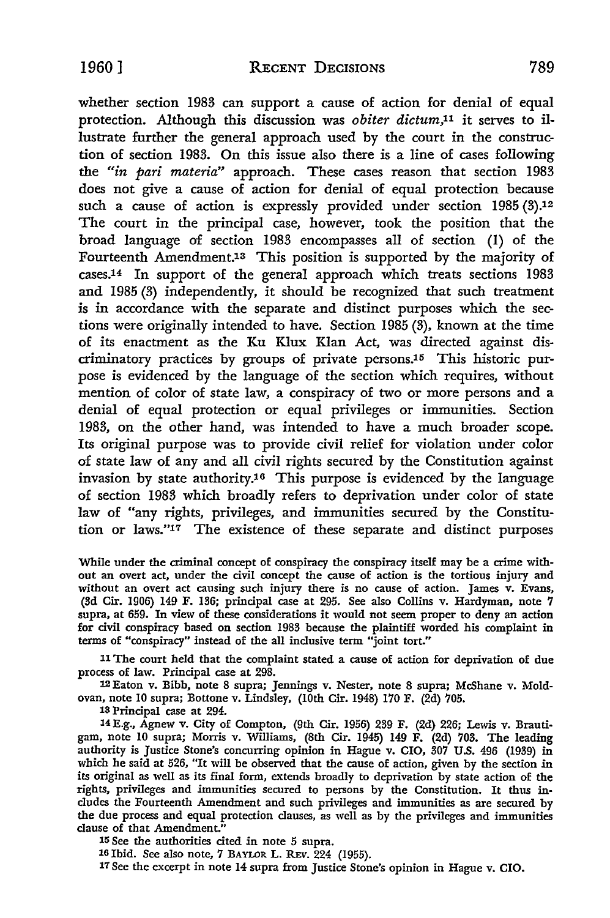whether section 1983 can support a cause of action for denial of equal protection. Although this discussion was *obiter dictum*,<sup>11</sup> it serves to illustrate further the general approach used by the court in the construction of section 1983. On this issue also there is a line of cases following the *"in* pari *materia"* approach. These cases reason that section 1983 does not give a cause of action for denial of equal protection because such a cause of action is expressly provided under section 1985 (3).<sup>12</sup> The court in the principal case, however, took the position that the broad language of section **1983** encompasses all of section **(1)** of the Fourteenth Amendment.<sup>13</sup> This position is supported by the majority of cases.14 In support of the general approach which treats sections 1983 and 1985 **(3)** independently, it should be recognized that such treatment is in accordance with the separate and distinct purposes which the sections were originally intended to have. Section 1985 (3), known at the time of its enactment as the Ku Klux Klan Act, was directed against discriminatory practices by groups of private persons.<sup>15</sup> This historic purpose is evidenced by the language of the section which requires, without mention of color of state law, a conspiracy of two or more persons and a denial of equal protection or equal privileges or immunities. Section 1983, on the other hand, was intended to have a much broader scope. Its original purpose was to provide civil relief for violation under color of state law of any and all civil rights secured by the Constitution against invasion by state authority.16 This purpose is evidenced by the language of section 1988 which broadly refers to deprivation under color of state law of "any rights, privileges, and immunities secured by the Constitution or laws."<sup>17</sup> The existence of these separate and distinct purposes

While under the criminal concept of conspiracy the conspiracy itself may be a crime without an overt act, under the civil concept the cause of action is the tortious injury and without an overt act causing such injury there is no cause of action. James v. Evans, **(3d** Cir. **1906)** 149 F. 136; principal case at 295. See also Collins v. Hardyman, note 7 supra, at 659. In view of these considerations it would not seem proper to deny an action for civil conspiracy based on section 1983 because the plaintiff worded his complaint in terms of "conspiracy" instead of the all inclusive term "joint tort."

IlThe court held that the complaint stated a cause of action for deprivation of due process of law. Principal case at 298.

12Eaton v. Bibb, note **8** supra; Jennings v. Nester, note **8** supra; McShane v. Moldovan, note **10** supra; Bottone v. Lindsley, (10th Cir. 1948) **170** F. **(2d) 705.**

**<sup>18</sup>**Principal case at 294.

**14 E.g.,** Agnew v. City of Compton, (9th Cir. **1956) 239** F. (2d) 226; Lewis v. Brautigain, note **10** supra; Morris v. Williams, (8th Cir. 1945) 149 F. (2d) **703.** The leading authority is Justice Stone's concurring opinion in Hague v. CIO, **307 U.S.** 496 (1939) in which he said at **526,** "It will be observed that the cause of action, given **by** the section in its original as well as its final form, extends broadly to deprivation **by** state action of the rights, privileges and immunities secured to persons **by** the Constitution. It thus includes the Fourteenth Amendment and such privileges and immunities as are secured **by** the due process and equal protection clauses, as well as **by** the privileges and immunities clause of that Amendment."

**<sup>35</sup>See** the authorities cited in note **5** supra.

**16** Ibid. See also note, **7 BAYLOR** L. REv. 224 **(1955).**

**17 See** the excerpt in note 14 supra from Justice Stone's opinion in Hague v. CIO.